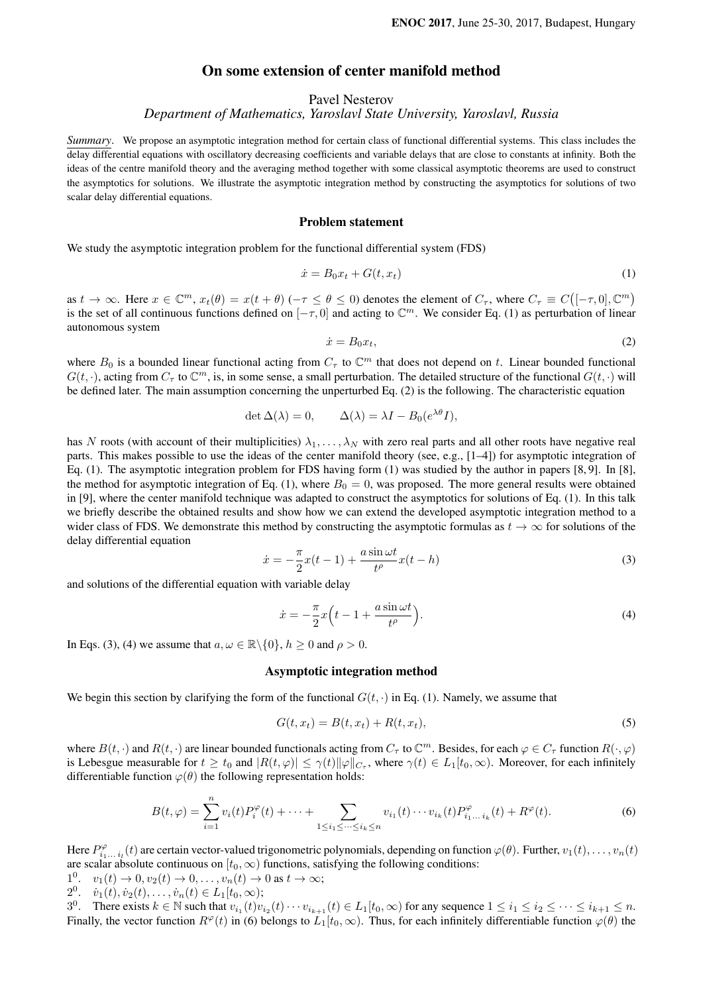# On some extension of center manifold method

Pavel Nesterov

*Department of Mathematics, Yaroslavl State University, Yaroslavl, Russia*

*Summary*. We propose an asymptotic integration method for certain class of functional differential systems. This class includes the delay differential equations with oscillatory decreasing coefficients and variable delays that are close to constants at infinity. Both the ideas of the centre manifold theory and the averaging method together with some classical asymptotic theorems are used to construct the asymptotics for solutions. We illustrate the asymptotic integration method by constructing the asymptotics for solutions of two scalar delay differential equations.

### Problem statement

We study the asymptotic integration problem for the functional differential system (FDS)

$$
\dot{x} = B_0 x_t + G(t, x_t) \tag{1}
$$

as  $t \to \infty$ . Here  $x \in \mathbb{C}^m$ ,  $x_t(\theta) = x(t + \theta)$  ( $-\tau \le \theta \le 0$ ) denotes the element of  $C_{\tau}$ , where  $C_{\tau} \equiv C([-\tau, 0], \mathbb{C}^m)$ is the set of all continuous functions defined on  $[-\tau, 0]$  and acting to  $\mathbb{C}^m$ . We consider Eq. (1) as perturbation of linear autonomous system

$$
\dot{x} = B_0 x_t,\tag{2}
$$

where  $B_0$  is a bounded linear functional acting from  $C_\tau$  to  $\mathbb{C}^m$  that does not depend on t. Linear bounded functional  $G(t, \cdot)$ , acting from  $C_{\tau}$  to  $\mathbb{C}^m$ , is, in some sense, a small perturbation. The detailed structure of the functional  $G(t, \cdot)$  will be defined later. The main assumption concerning the unperturbed Eq. (2) is the following. The characteristic equation

$$
\det \Delta(\lambda) = 0, \qquad \Delta(\lambda) = \lambda I - B_0(e^{\lambda \theta} I),
$$

has N roots (with account of their multiplicities)  $\lambda_1, \ldots, \lambda_N$  with zero real parts and all other roots have negative real parts. This makes possible to use the ideas of the center manifold theory (see, e.g., [1–4]) for asymptotic integration of Eq. (1). The asymptotic integration problem for FDS having form (1) was studied by the author in papers [8, 9]. In [8], the method for asymptotic integration of Eq. (1), where  $B_0 = 0$ , was proposed. The more general results were obtained in [9], where the center manifold technique was adapted to construct the asymptotics for solutions of Eq. (1). In this talk we briefly describe the obtained results and show how we can extend the developed asymptotic integration method to a wider class of FDS. We demonstrate this method by constructing the asymptotic formulas as  $t \to \infty$  for solutions of the delay differential equation

$$
\dot{x} = -\frac{\pi}{2}x(t-1) + \frac{a\sin\omega t}{t^{\rho}}x(t-h)
$$
\n(3)

and solutions of the differential equation with variable delay

$$
\dot{x} = -\frac{\pi}{2}x\left(t - 1 + \frac{a\sin\omega t}{t^{\rho}}\right).
$$
\n(4)

In Eqs. (3), (4) we assume that  $a, \omega \in \mathbb{R} \setminus \{0\}$ ,  $h \ge 0$  and  $\rho > 0$ .

## Asymptotic integration method

We begin this section by clarifying the form of the functional  $G(t, \cdot)$  in Eq. (1). Namely, we assume that

$$
G(t, x_t) = B(t, x_t) + R(t, x_t),
$$
\n<sup>(5)</sup>

where  $B(t, \cdot)$  and  $R(t, \cdot)$  are linear bounded functionals acting from  $C_\tau$  to  $\mathbb{C}^m$ . Besides, for each  $\varphi \in C_\tau$  function  $R(\cdot, \varphi)$ is Lebesgue measurable for  $t \ge t_0$  and  $|R(t, \varphi)| \le \gamma(t) ||\varphi||_{C_\tau}$ , where  $\gamma(t) \in L_1[t_0, \infty)$ . Moreover, for each infinitely differentiable function  $\varphi(\theta)$  the following representation holds:

$$
B(t,\varphi) = \sum_{i=1}^{n} v_i(t) P_i^{\varphi}(t) + \dots + \sum_{1 \le i_1 \le \dots \le i_k \le n} v_{i_1}(t) \dots v_{i_k}(t) P_{i_1 \dots i_k}^{\varphi}(t) + R^{\varphi}(t).
$$
 (6)

Here  $P_{i_1...i_l}^{\varphi}(t)$  are certain vector-valued trigonometric polynomials, depending on function  $\varphi(\theta)$ . Further,  $v_1(t),...,v_n(t)$ are scalar absolute continuous on  $[t_0, \infty)$  functions, satisfying the following conditions:

- $1^0$ .  $v_1(t) \rightarrow 0, v_2(t) \rightarrow 0, \ldots, v_n(t) \rightarrow 0$  as  $t \rightarrow \infty$ ;
- 2<sup>0</sup>.  $\dot{v}_1(t), \dot{v}_2(t), \dots, \dot{v}_n(t) \in L_1[t_0, \infty);$

3<sup>0</sup>. There exists  $k \in \mathbb{N}$  such that  $v_{i_1}(t)v_{i_2}(t) \cdots v_{i_{k+1}}(t) \in L_1[t_0, \infty)$  for any sequence  $1 \leq i_1 \leq i_2 \leq \cdots \leq i_{k+1} \leq n$ . Finally, the vector function  $R^{\varphi}(t)$  in (6) belongs to  $L_1[t_0,\infty)$ . Thus, for each infinitely differentiable function  $\varphi(\theta)$  the